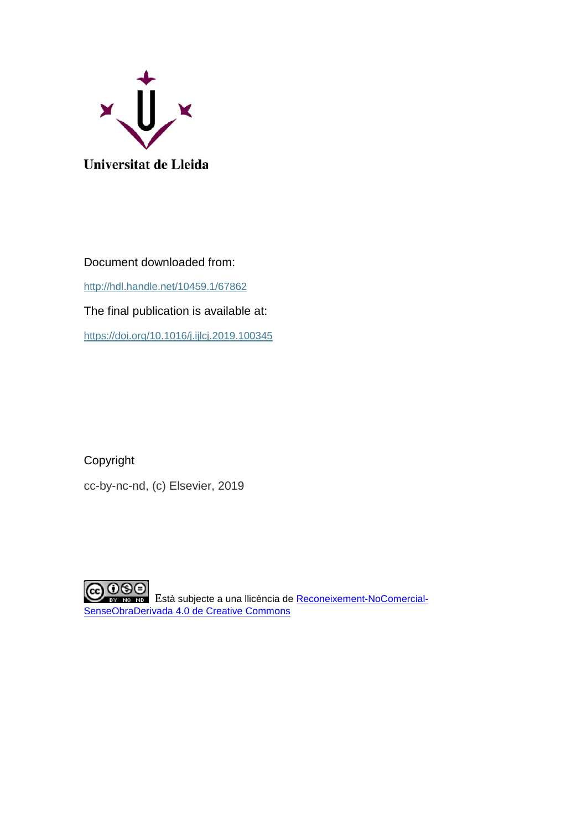

Document downloaded from:

<http://hdl.handle.net/10459.1/67862>

The final publication is available at:

<https://doi.org/10.1016/j.ijlcj.2019.100345>

Copyright

cc-by-nc-nd, (c) Elsevier, 2019

COOSO Està subjecte a una llicència de [Reconeixement-NoComercial-](http://creativecommons.org/licenses/by-nc-nd/4.0/)[SenseObraDerivada 4.0 de Creative Commons](http://creativecommons.org/licenses/by-nc-nd/4.0/)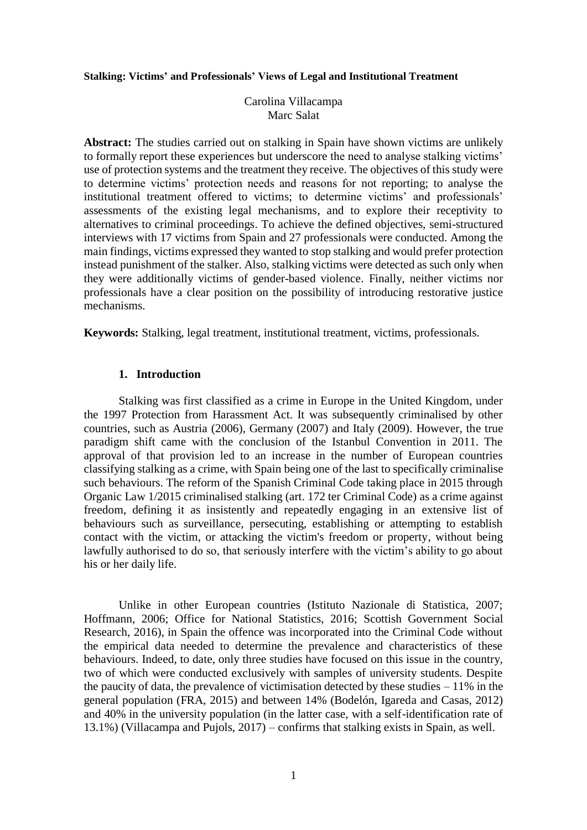#### **Stalking: Victims' and Professionals' Views of Legal and Institutional Treatment**

Carolina Villacampa Marc Salat

**Abstract:** The studies carried out on stalking in Spain have shown victims are unlikely to formally report these experiences but underscore the need to analyse stalking victims' use of protection systems and the treatment they receive. The objectives of this study were to determine victims' protection needs and reasons for not reporting; to analyse the institutional treatment offered to victims; to determine victims' and professionals' assessments of the existing legal mechanisms, and to explore their receptivity to alternatives to criminal proceedings. To achieve the defined objectives, semi-structured interviews with 17 victims from Spain and 27 professionals were conducted. Among the main findings, victims expressed they wanted to stop stalking and would prefer protection instead punishment of the stalker. Also, stalking victims were detected as such only when they were additionally victims of gender-based violence. Finally, neither victims nor professionals have a clear position on the possibility of introducing restorative justice mechanisms.

**Keywords:** Stalking, legal treatment, institutional treatment, victims, professionals.

## **1. Introduction**

Stalking was first classified as a crime in Europe in the United Kingdom, under the 1997 Protection from Harassment Act. It was subsequently criminalised by other countries, such as Austria (2006), Germany (2007) and Italy (2009). However, the true paradigm shift came with the conclusion of the Istanbul Convention in 2011. The approval of that provision led to an increase in the number of European countries classifying stalking as a crime, with Spain being one of the last to specifically criminalise such behaviours. The reform of the Spanish Criminal Code taking place in 2015 through Organic Law 1/2015 criminalised stalking (art. 172 ter Criminal Code) as a crime against freedom, defining it as insistently and repeatedly engaging in an extensive list of behaviours such as surveillance, persecuting, establishing or attempting to establish contact with the victim, or attacking the victim's freedom or property, without being lawfully authorised to do so, that seriously interfere with the victim's ability to go about his or her daily life.

Unlike in other European countries (Istituto Nazionale di Statistica, 2007; Hoffmann, 2006; Office for National Statistics, 2016; Scottish Government Social Research, 2016), in Spain the offence was incorporated into the Criminal Code without the empirical data needed to determine the prevalence and characteristics of these behaviours. Indeed, to date, only three studies have focused on this issue in the country, two of which were conducted exclusively with samples of university students. Despite the paucity of data, the prevalence of victimisation detected by these studies  $-11\%$  in the general population (FRA, 2015) and between 14% (Bodelón, Igareda and Casas, 2012) and 40% in the university population (in the latter case, with a self-identification rate of 13.1%) (Villacampa and Pujols, 2017) – confirms that stalking exists in Spain, as well.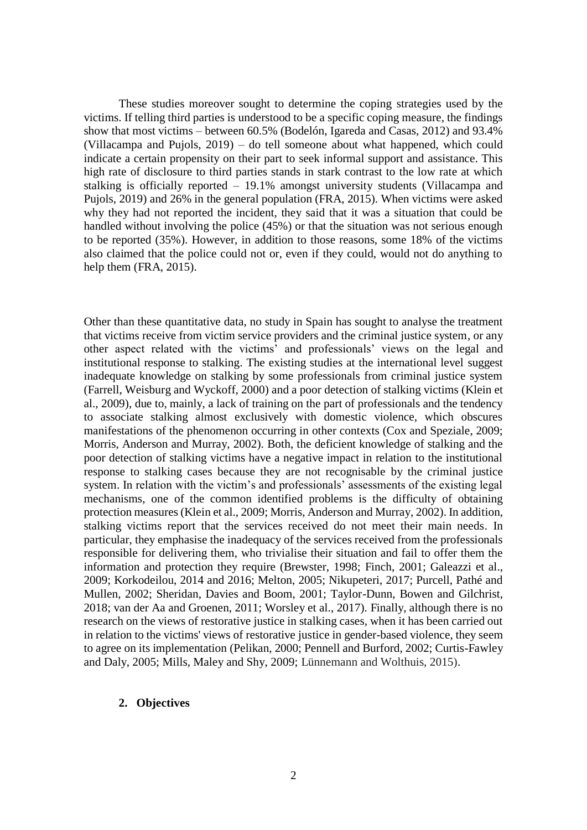These studies moreover sought to determine the coping strategies used by the victims. If telling third parties is understood to be a specific coping measure, the findings show that most victims – between 60.5% (Bodelón, Igareda and Casas, 2012) and 93.4% (Villacampa and Pujols, 2019) – do tell someone about what happened, which could indicate a certain propensity on their part to seek informal support and assistance. This high rate of disclosure to third parties stands in stark contrast to the low rate at which stalking is officially reported – 19.1% amongst university students (Villacampa and Pujols, 2019) and 26% in the general population (FRA, 2015). When victims were asked why they had not reported the incident, they said that it was a situation that could be handled without involving the police (45%) or that the situation was not serious enough to be reported (35%). However, in addition to those reasons, some 18% of the victims also claimed that the police could not or, even if they could, would not do anything to help them (FRA, 2015).

Other than these quantitative data, no study in Spain has sought to analyse the treatment that victims receive from victim service providers and the criminal justice system, or any other aspect related with the victims' and professionals' views on the legal and institutional response to stalking. The existing studies at the international level suggest inadequate knowledge on stalking by some professionals from criminal justice system (Farrell, Weisburg and Wyckoff, 2000) and a poor detection of stalking victims (Klein et al., 2009), due to, mainly, a lack of training on the part of professionals and the tendency to associate stalking almost exclusively with domestic violence, which obscures manifestations of the phenomenon occurring in other contexts (Cox and Speziale, 2009; Morris, Anderson and Murray, 2002). Both, the deficient knowledge of stalking and the poor detection of stalking victims have a negative impact in relation to the institutional response to stalking cases because they are not recognisable by the criminal justice system. In relation with the victim's and professionals' assessments of the existing legal mechanisms, one of the common identified problems is the difficulty of obtaining protection measures (Klein et al., 2009; Morris, Anderson and Murray, 2002). In addition, stalking victims report that the services received do not meet their main needs. In particular, they emphasise the inadequacy of the services received from the professionals responsible for delivering them, who trivialise their situation and fail to offer them the information and protection they require (Brewster, 1998; Finch, 2001; Galeazzi et al., 2009; Korkodeilou, 2014 and 2016; Melton, 2005; Nikupeteri, 2017; Purcell, Pathé and Mullen, 2002; Sheridan, Davies and Boom, 2001; Taylor-Dunn, Bowen and Gilchrist, 2018; van der Aa and Groenen, 2011; Worsley et al., 2017). Finally, although there is no research on the views of restorative justice in stalking cases, when it has been carried out in relation to the victims' views of restorative justice in gender-based violence, they seem to agree on its implementation (Pelikan, 2000; Pennell and Burford, 2002; Curtis-Fawley and Daly, 2005; Mills, Maley and Shy, 2009; Lünnemann and Wolthuis, 2015).

### **2. Objectives**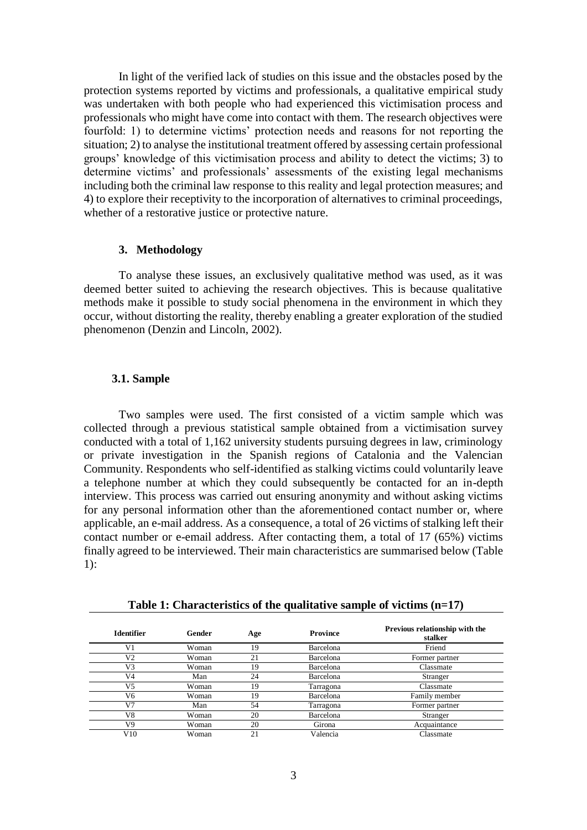In light of the verified lack of studies on this issue and the obstacles posed by the protection systems reported by victims and professionals, a qualitative empirical study was undertaken with both people who had experienced this victimisation process and professionals who might have come into contact with them. The research objectives were fourfold: 1) to determine victims' protection needs and reasons for not reporting the situation; 2) to analyse the institutional treatment offered by assessing certain professional groups' knowledge of this victimisation process and ability to detect the victims; 3) to determine victims' and professionals' assessments of the existing legal mechanisms including both the criminal law response to this reality and legal protection measures; and 4) to explore their receptivity to the incorporation of alternatives to criminal proceedings, whether of a restorative justice or protective nature.

### **3. Methodology**

To analyse these issues, an exclusively qualitative method was used, as it was deemed better suited to achieving the research objectives. This is because qualitative methods make it possible to study social phenomena in the environment in which they occur, without distorting the reality, thereby enabling a greater exploration of the studied phenomenon (Denzin and Lincoln, 2002).

### **3.1. Sample**

Two samples were used. The first consisted of a victim sample which was collected through a previous statistical sample obtained from a victimisation survey conducted with a total of 1,162 university students pursuing degrees in law, criminology or private investigation in the Spanish regions of Catalonia and the Valencian Community. Respondents who self-identified as stalking victims could voluntarily leave a telephone number at which they could subsequently be contacted for an in-depth interview. This process was carried out ensuring anonymity and without asking victims for any personal information other than the aforementioned contact number or, where applicable, an e-mail address. As a consequence, a total of 26 victims of stalking left their contact number or e-email address. After contacting them, a total of 17 (65%) victims finally agreed to be interviewed. Their main characteristics are summarised below (Table 1):

| <b>Identifier</b> | Gender | Age | <b>Province</b>  | Previous relationship with the<br>stalker |
|-------------------|--------|-----|------------------|-------------------------------------------|
| V1                | Woman  | 19  | Barcelona        | Friend                                    |
| V <sub>2</sub>    | Woman  | 21  | <b>Barcelona</b> | Former partner                            |
| V <sub>3</sub>    | Woman  | 19  | Barcelona        | Classmate                                 |
| V4                | Man    | 24  | <b>Barcelona</b> | Stranger                                  |
| V5                | Woman  | 19  | Tarragona        | Classmate                                 |
| V6                | Woman  | 19  | Barcelona        | Family member                             |
| V7                | Man    | 54  | Tarragona        | Former partner                            |
| V8                | Woman  | 20  | Barcelona        | Stranger                                  |
| V9                | Woman  | 20  | Girona           | Acquaintance                              |
| V10               | Woman  | 21  | Valencia         | Classmate                                 |

**Table 1: Characteristics of the qualitative sample of victims (n=17)**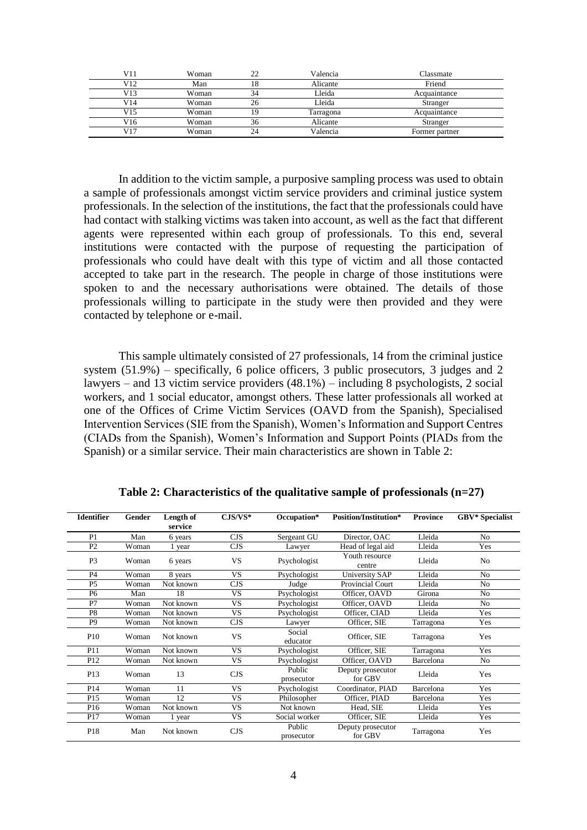| V11  | Woman | າາ | Valencia  | Classmate      |
|------|-------|----|-----------|----------------|
| V12  | Man   | 18 | Alicante  | Friend         |
| V13  | Woman | 34 | Lleida    | Acquaintance   |
| V 14 | Woman | 26 | Lleida    | Stranger       |
| V 15 | Woman | 19 | Tarragona | Acquaintance   |
| V16  | Woman | 36 | Alicante  | Stranger       |
| V17  | Woman | 24 | Valencia  | Former partner |

In addition to the victim sample, a purposive sampling process was used to obtain a sample of professionals amongst victim service providers and criminal justice system professionals. In the selection of the institutions, the fact that the professionals could have had contact with stalking victims was taken into account, as well as the fact that different agents were represented within each group of professionals. To this end, several institutions were contacted with the purpose of requesting the participation of professionals who could have dealt with this type of victim and all those contacted accepted to take part in the research. The people in charge of those institutions were spoken to and the necessary authorisations were obtained. The details of those professionals willing to participate in the study were then provided and they were contacted by telephone or e-mail.

This sample ultimately consisted of 27 professionals, 14 from the criminal justice system  $(51.9%)$  – specifically, 6 police officers, 3 public prosecutors, 3 judges and 2 lawyers – and 13 victim service providers (48.1%) – including 8 psychologists, 2 social workers, and 1 social educator, amongst others. These latter professionals all worked at one of the Offices of Crime Victim Services (OAVD from the Spanish), Specialised Intervention Services (SIE from the Spanish), Women's Information and Support Centres (CIADs from the Spanish), Women's Information and Support Points (PIADs from the Spanish) or a similar service. Their main characteristics are shown in Table 2:

| <b>Identifier</b> | Gender | Length of<br>service | $CJS/VS^*$ | Occupation*          | Position/Institution*        | <b>Province</b> | <b>GBV*</b> Specialist |
|-------------------|--------|----------------------|------------|----------------------|------------------------------|-----------------|------------------------|
| P <sub>1</sub>    | Man    | 6 years              | <b>CJS</b> | Sergeant GU          | Director, OAC                | Lleida          | N <sub>o</sub>         |
| P <sub>2</sub>    | Woman  | 1 year               | <b>CJS</b> | Lawyer               | Head of legal aid            | Lleida          | Yes                    |
| P <sub>3</sub>    | Woman  | 6 years              | <b>VS</b>  | Psychologist         | Youth resource<br>centre     | Lleida          | N <sub>o</sub>         |
| P <sub>4</sub>    | Woman  | 8 years              | <b>VS</b>  | Psychologist         | University SAP               | Lleida          | N <sub>o</sub>         |
| P <sub>5</sub>    | Woman  | Not known            | <b>CJS</b> | Judge                | Provincial Court             | Lleida          | No.                    |
| P <sub>6</sub>    | Man    | 18                   | VS         | Psychologist         | Officer, OAVD                | Girona          | No                     |
| P7                | Woman  | Not known            | VS         | Psychologist         | Officer, OAVD                | Lleida          | N <sub>o</sub>         |
| P8                | Woman  | Not known            | <b>VS</b>  | Psychologist         | Officer, CIAD                | Lleida          | Yes                    |
| P <sub>9</sub>    | Woman  | Not known            | <b>CJS</b> | Lawyer               | Officer, SIE                 | Tarragona       | Yes                    |
| P10               | Woman  | Not known            | VS         | Social<br>educator   | Officer, SIE                 | Tarragona       | Yes                    |
| P11               | Woman  | Not known            | <b>VS</b>  | Psychologist         | Officer, SIE                 | Tarragona       | Yes                    |
| P12               | Woman  | Not known            | <b>VS</b>  | Psychologist         | Officer, OAVD                | Barcelona       | No                     |
| P13               | Woman  | 13                   | <b>CJS</b> | Public<br>prosecutor | Deputy prosecutor<br>for GBV | Lleida          | Yes                    |
| P <sub>14</sub>   | Woman  | 11                   | <b>VS</b>  | Psychologist         | Coordinator, PIAD            | Barcelona       | Yes                    |
| P15               | Woman  | 12                   | <b>VS</b>  | Philosopher          | Officer, PIAD                | Barcelona       | Yes                    |
| P <sub>16</sub>   | Woman  | Not known            | VS         | Not known            | Head, SIE                    | Lleida          | Yes                    |
| P17               | Woman  | 1 year               | VS         | Social worker        | Officer, SIE                 | Lleida          | Yes                    |
| P <sub>18</sub>   | Man    | Not known            | <b>CJS</b> | Public<br>prosecutor | Deputy prosecutor<br>for GBV | Tarragona       | Yes                    |

**Table 2: Characteristics of the qualitative sample of professionals (n=27)**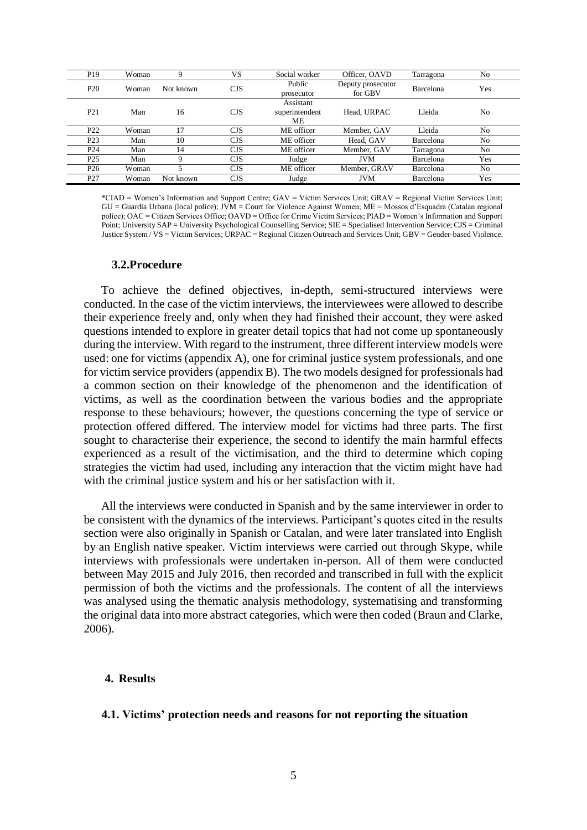| P <sub>19</sub> | Woman | 9           | VS         | Social worker                     | Officer, OAVD                | Tarragona | N <sub>0</sub> |
|-----------------|-------|-------------|------------|-----------------------------------|------------------------------|-----------|----------------|
| P <sub>20</sub> | Woman | Not known   | <b>CJS</b> | Public<br>prosecutor              | Deputy prosecutor<br>for GBV | Barcelona | Yes            |
| P <sub>21</sub> | Man   | 16          | CJS        | Assistant<br>superintendent<br>MЕ | Head. URPAC                  | Lleida    | N <sub>0</sub> |
| P <sub>22</sub> | Woman | 17          | CJS        | ME officer                        | Member, GAV                  | Lleida    | N <sub>o</sub> |
| P <sub>23</sub> | Man   | 10          | CJS        | ME officer                        | Head. GAV                    | Barcelona | N <sub>0</sub> |
| P <sub>24</sub> | Man   | 14          | CJS        | ME officer                        | Member, GAV                  | Tarragona | No.            |
| P <sub>25</sub> | Man   | $\mathbf Q$ | CJS        | Judge                             | <b>JVM</b>                   | Barcelona | Yes            |
| P <sub>26</sub> | Woman |             | CJS        | ME officer                        | Member, GRAV                 | Barcelona | N <sub>o</sub> |
| P27             | Woman | Not known   | CJS        | Judge                             | <b>JVM</b>                   | Barcelona | Yes            |

\*CIAD = Women's Information and Support Centre; GAV = Victim Services Unit; GRAV = Regional Victim Services Unit; GU = Guardia Urbana (local police); JVM = Court for Violence Against Women; ME = Mossos d'Esquadra (Catalan regional police); OAC = Citizen Services Office; OAVD = Office for Crime Victim Services; PIAD = Women's Information and Support Point; University SAP = University Psychological Counselling Service; SIE = Specialised Intervention Service; CJS = Criminal Justice System / VS = Victim Services; URPAC = Regional Citizen Outreach and Services Unit; GBV = Gender-based Violence.

#### **3.2.Procedure**

To achieve the defined objectives, in-depth, semi-structured interviews were conducted. In the case of the victim interviews, the interviewees were allowed to describe their experience freely and, only when they had finished their account, they were asked questions intended to explore in greater detail topics that had not come up spontaneously during the interview. With regard to the instrument, three different interview models were used: one for victims (appendix A), one for criminal justice system professionals, and one for victim service providers (appendix B). The two models designed for professionals had a common section on their knowledge of the phenomenon and the identification of victims, as well as the coordination between the various bodies and the appropriate response to these behaviours; however, the questions concerning the type of service or protection offered differed. The interview model for victims had three parts. The first sought to characterise their experience, the second to identify the main harmful effects experienced as a result of the victimisation, and the third to determine which coping strategies the victim had used, including any interaction that the victim might have had with the criminal justice system and his or her satisfaction with it.

All the interviews were conducted in Spanish and by the same interviewer in order to be consistent with the dynamics of the interviews. Participant's quotes cited in the results section were also originally in Spanish or Catalan, and were later translated into English by an English native speaker. Victim interviews were carried out through Skype, while interviews with professionals were undertaken in-person. All of them were conducted between May 2015 and July 2016, then recorded and transcribed in full with the explicit permission of both the victims and the professionals. The content of all the interviews was analysed using the thematic analysis methodology, systematising and transforming the original data into more abstract categories, which were then coded (Braun and Clarke, 2006).

#### **4. Results**

### **4.1. Victims' protection needs and reasons for not reporting the situation**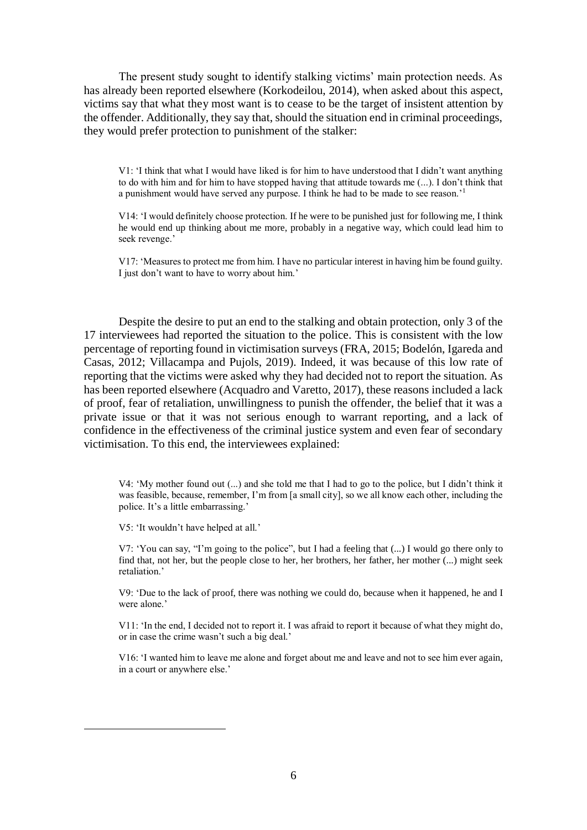The present study sought to identify stalking victims' main protection needs. As has already been reported elsewhere (Korkodeilou, 2014), when asked about this aspect, victims say that what they most want is to cease to be the target of insistent attention by the offender. Additionally, they say that, should the situation end in criminal proceedings, they would prefer protection to punishment of the stalker:

V1: 'I think that what I would have liked is for him to have understood that I didn't want anything to do with him and for him to have stopped having that attitude towards me (...). I don't think that a punishment would have served any purpose. I think he had to be made to see reason.'<sup>1</sup>

V14: 'I would definitely choose protection. If he were to be punished just for following me, I think he would end up thinking about me more, probably in a negative way, which could lead him to seek revenge.'

V17: 'Measures to protect me from him. I have no particular interest in having him be found guilty. I just don't want to have to worry about him.'

Despite the desire to put an end to the stalking and obtain protection, only 3 of the 17 interviewees had reported the situation to the police. This is consistent with the low percentage of reporting found in victimisation surveys (FRA, 2015; Bodelón, Igareda and Casas, 2012; Villacampa and Pujols, 2019). Indeed, it was because of this low rate of reporting that the victims were asked why they had decided not to report the situation. As has been reported elsewhere (Acquadro and Varetto, 2017), these reasons included a lack of proof, fear of retaliation, unwillingness to punish the offender, the belief that it was a private issue or that it was not serious enough to warrant reporting, and a lack of confidence in the effectiveness of the criminal justice system and even fear of secondary victimisation. To this end, the interviewees explained:

V4: 'My mother found out (...) and she told me that I had to go to the police, but I didn't think it was feasible, because, remember, I'm from [a small city], so we all know each other, including the police. It's a little embarrassing.'

V5: 'It wouldn't have helped at all.'

 $\overline{a}$ 

V7: 'You can say, "I'm going to the police", but I had a feeling that (...) I would go there only to find that, not her, but the people close to her, her brothers, her father, her mother (...) might seek retaliation.'

V9: 'Due to the lack of proof, there was nothing we could do, because when it happened, he and I were alone.'

V11: 'In the end, I decided not to report it. I was afraid to report it because of what they might do, or in case the crime wasn't such a big deal.'

V16: 'I wanted him to leave me alone and forget about me and leave and not to see him ever again, in a court or anywhere else.'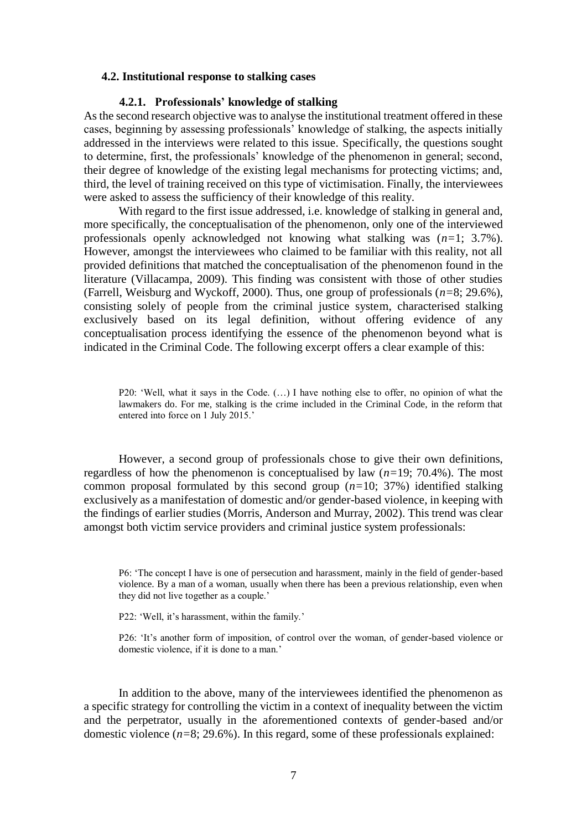## **4.2. Institutional response to stalking cases**

### **4.2.1. Professionals' knowledge of stalking**

As the second research objective was to analyse the institutional treatment offered in these cases, beginning by assessing professionals' knowledge of stalking, the aspects initially addressed in the interviews were related to this issue. Specifically, the questions sought to determine, first, the professionals' knowledge of the phenomenon in general; second, their degree of knowledge of the existing legal mechanisms for protecting victims; and, third, the level of training received on this type of victimisation. Finally, the interviewees were asked to assess the sufficiency of their knowledge of this reality.

With regard to the first issue addressed, i.e. knowledge of stalking in general and, more specifically, the conceptualisation of the phenomenon, only one of the interviewed professionals openly acknowledged not knowing what stalking was (*n=*1; 3.7%). However, amongst the interviewees who claimed to be familiar with this reality, not all provided definitions that matched the conceptualisation of the phenomenon found in the literature (Villacampa, 2009). This finding was consistent with those of other studies (Farrell, Weisburg and Wyckoff, 2000). Thus, one group of professionals (*n=*8; 29.6%), consisting solely of people from the criminal justice system, characterised stalking exclusively based on its legal definition, without offering evidence of any conceptualisation process identifying the essence of the phenomenon beyond what is indicated in the Criminal Code. The following excerpt offers a clear example of this:

P20: 'Well, what it says in the Code. (…) I have nothing else to offer, no opinion of what the lawmakers do. For me, stalking is the crime included in the Criminal Code, in the reform that entered into force on 1 July 2015.'

However, a second group of professionals chose to give their own definitions, regardless of how the phenomenon is conceptualised by law (*n=*19; 70.4%). The most common proposal formulated by this second group (*n=*10; 37%) identified stalking exclusively as a manifestation of domestic and/or gender-based violence, in keeping with the findings of earlier studies (Morris, Anderson and Murray, 2002). This trend was clear amongst both victim service providers and criminal justice system professionals:

P6: 'The concept I have is one of persecution and harassment, mainly in the field of gender-based violence. By a man of a woman, usually when there has been a previous relationship, even when they did not live together as a couple.'

P22: 'Well, it's harassment, within the family.'

P26: 'It's another form of imposition, of control over the woman, of gender-based violence or domestic violence, if it is done to a man.'

In addition to the above, many of the interviewees identified the phenomenon as a specific strategy for controlling the victim in a context of inequality between the victim and the perpetrator, usually in the aforementioned contexts of gender-based and/or domestic violence (*n=*8; 29.6%). In this regard, some of these professionals explained: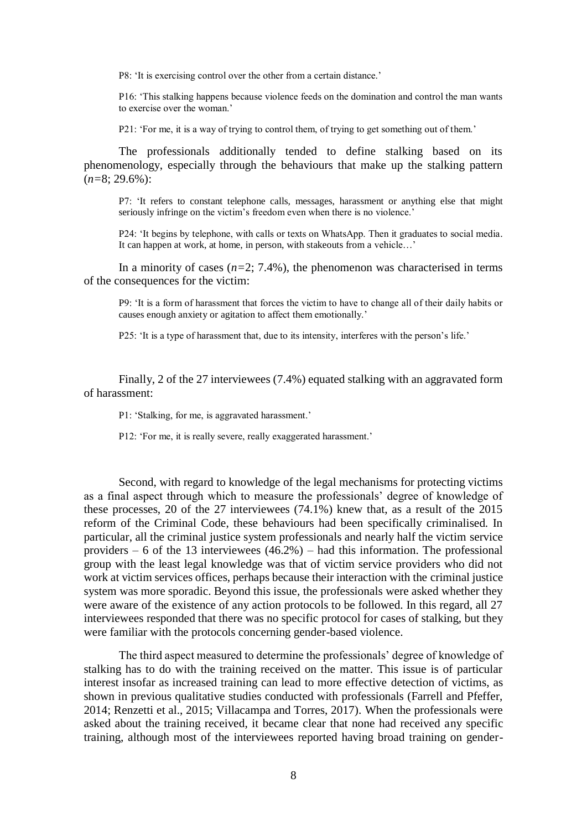P8: 'It is exercising control over the other from a certain distance.'

P16: 'This stalking happens because violence feeds on the domination and control the man wants to exercise over the woman.'

P21: 'For me, it is a way of trying to control them, of trying to get something out of them.'

The professionals additionally tended to define stalking based on its phenomenology, especially through the behaviours that make up the stalking pattern (*n=*8; 29.6%):

P7: 'It refers to constant telephone calls, messages, harassment or anything else that might seriously infringe on the victim's freedom even when there is no violence.'

P24: 'It begins by telephone, with calls or texts on WhatsApp. Then it graduates to social media. It can happen at work, at home, in person, with stakeouts from a vehicle…'

In a minority of cases (*n=*2; 7.4%), the phenomenon was characterised in terms of the consequences for the victim:

P9: 'It is a form of harassment that forces the victim to have to change all of their daily habits or causes enough anxiety or agitation to affect them emotionally.'

P25: 'It is a type of harassment that, due to its intensity, interferes with the person's life.'

Finally, 2 of the 27 interviewees (7.4%) equated stalking with an aggravated form of harassment:

P1: 'Stalking, for me, is aggravated harassment.'

P12: 'For me, it is really severe, really exaggerated harassment.'

Second, with regard to knowledge of the legal mechanisms for protecting victims as a final aspect through which to measure the professionals' degree of knowledge of these processes, 20 of the 27 interviewees (74.1%) knew that, as a result of the 2015 reform of the Criminal Code, these behaviours had been specifically criminalised. In particular, all the criminal justice system professionals and nearly half the victim service providers – 6 of the 13 interviewees  $(46.2%)$  – had this information. The professional group with the least legal knowledge was that of victim service providers who did not work at victim services offices, perhaps because their interaction with the criminal justice system was more sporadic. Beyond this issue, the professionals were asked whether they were aware of the existence of any action protocols to be followed. In this regard, all 27 interviewees responded that there was no specific protocol for cases of stalking, but they were familiar with the protocols concerning gender-based violence.

The third aspect measured to determine the professionals' degree of knowledge of stalking has to do with the training received on the matter. This issue is of particular interest insofar as increased training can lead to more effective detection of victims, as shown in previous qualitative studies conducted with professionals (Farrell and Pfeffer, 2014; Renzetti et al., 2015; Villacampa and Torres, 2017). When the professionals were asked about the training received, it became clear that none had received any specific training, although most of the interviewees reported having broad training on gender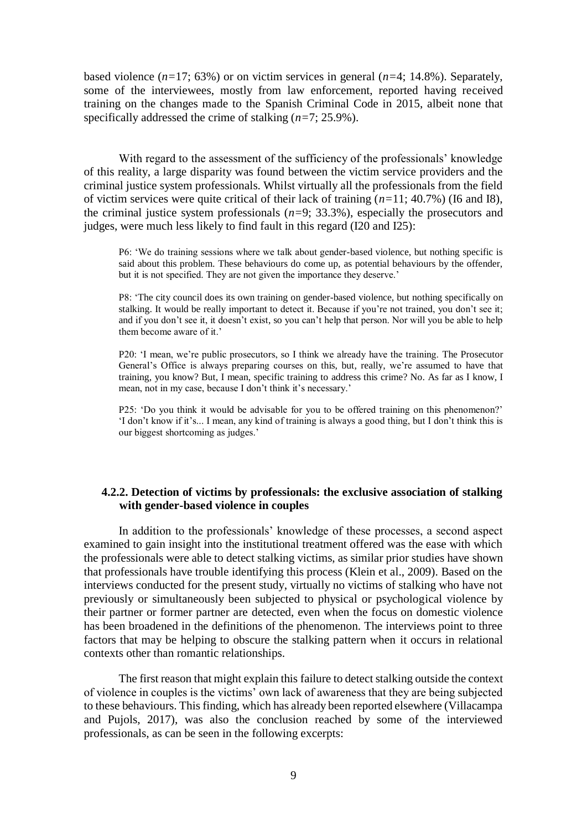based violence (*n=*17; 63%) or on victim services in general (*n=*4; 14.8%). Separately, some of the interviewees, mostly from law enforcement, reported having received training on the changes made to the Spanish Criminal Code in 2015, albeit none that specifically addressed the crime of stalking (*n=*7; 25.9%).

With regard to the assessment of the sufficiency of the professionals' knowledge of this reality, a large disparity was found between the victim service providers and the criminal justice system professionals. Whilst virtually all the professionals from the field of victim services were quite critical of their lack of training (*n=*11; 40.7%) (I6 and I8), the criminal justice system professionals (*n=*9; 33.3%), especially the prosecutors and judges, were much less likely to find fault in this regard (I20 and I25):

P6: 'We do training sessions where we talk about gender-based violence, but nothing specific is said about this problem. These behaviours do come up, as potential behaviours by the offender, but it is not specified. They are not given the importance they deserve.'

P8: 'The city council does its own training on gender-based violence, but nothing specifically on stalking. It would be really important to detect it. Because if you're not trained, you don't see it; and if you don't see it, it doesn't exist, so you can't help that person. Nor will you be able to help them become aware of it.'

P20: 'I mean, we're public prosecutors, so I think we already have the training. The Prosecutor General's Office is always preparing courses on this, but, really, we're assumed to have that training, you know? But, I mean, specific training to address this crime? No. As far as I know, I mean, not in my case, because I don't think it's necessary.'

P25: 'Do you think it would be advisable for you to be offered training on this phenomenon?' 'I don't know if it's... I mean, any kind of training is always a good thing, but I don't think this is our biggest shortcoming as judges.'

# **4.2.2. Detection of victims by professionals: the exclusive association of stalking with gender-based violence in couples**

In addition to the professionals' knowledge of these processes, a second aspect examined to gain insight into the institutional treatment offered was the ease with which the professionals were able to detect stalking victims, as similar prior studies have shown that professionals have trouble identifying this process (Klein et al., 2009). Based on the interviews conducted for the present study, virtually no victims of stalking who have not previously or simultaneously been subjected to physical or psychological violence by their partner or former partner are detected, even when the focus on domestic violence has been broadened in the definitions of the phenomenon. The interviews point to three factors that may be helping to obscure the stalking pattern when it occurs in relational contexts other than romantic relationships.

The first reason that might explain this failure to detect stalking outside the context of violence in couples is the victims' own lack of awareness that they are being subjected to these behaviours. This finding, which has already been reported elsewhere (Villacampa and Pujols, 2017), was also the conclusion reached by some of the interviewed professionals, as can be seen in the following excerpts: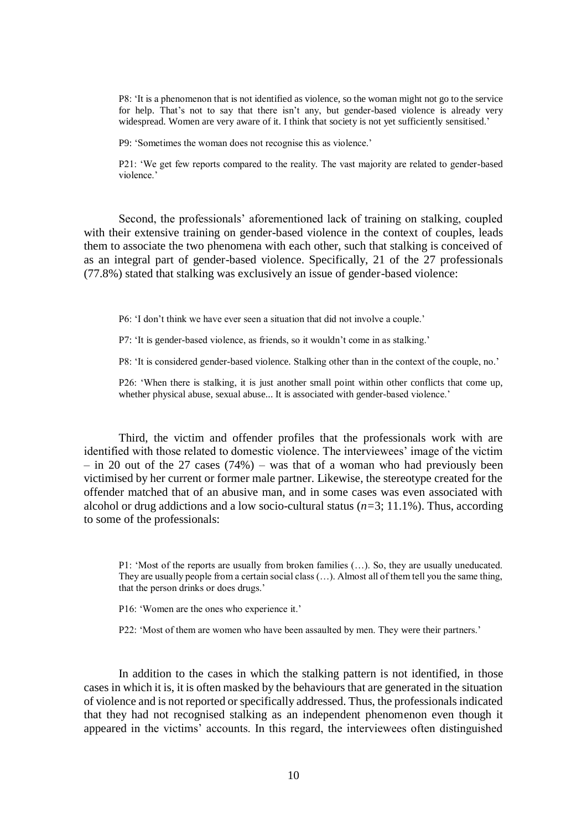P8: 'It is a phenomenon that is not identified as violence, so the woman might not go to the service for help. That's not to say that there isn't any, but gender-based violence is already very widespread. Women are very aware of it. I think that society is not yet sufficiently sensitised.'

P9: 'Sometimes the woman does not recognise this as violence.'

P21: 'We get few reports compared to the reality. The vast majority are related to gender-based violence.'

Second, the professionals' aforementioned lack of training on stalking, coupled with their extensive training on gender-based violence in the context of couples, leads them to associate the two phenomena with each other, such that stalking is conceived of as an integral part of gender-based violence. Specifically, 21 of the 27 professionals (77.8%) stated that stalking was exclusively an issue of gender-based violence:

P6: 'I don't think we have ever seen a situation that did not involve a couple.'

P7: 'It is gender-based violence, as friends, so it wouldn't come in as stalking.'

P8: 'It is considered gender-based violence. Stalking other than in the context of the couple, no.'

P26: 'When there is stalking, it is just another small point within other conflicts that come up, whether physical abuse, sexual abuse... It is associated with gender-based violence.'

Third, the victim and offender profiles that the professionals work with are identified with those related to domestic violence. The interviewees' image of the victim – in 20 out of the 27 cases  $(74%)$  – was that of a woman who had previously been victimised by her current or former male partner. Likewise, the stereotype created for the offender matched that of an abusive man, and in some cases was even associated with alcohol or drug addictions and a low socio-cultural status  $(n=3; 11.1\%)$ . Thus, according to some of the professionals:

P1: 'Most of the reports are usually from broken families (…). So, they are usually uneducated. They are usually people from a certain social class (…). Almost all of them tell you the same thing, that the person drinks or does drugs.'

P16: 'Women are the ones who experience it.'

P22: 'Most of them are women who have been assaulted by men. They were their partners.'

In addition to the cases in which the stalking pattern is not identified, in those cases in which it is, it is often masked by the behaviours that are generated in the situation of violence and is not reported or specifically addressed. Thus, the professionals indicated that they had not recognised stalking as an independent phenomenon even though it appeared in the victims' accounts. In this regard, the interviewees often distinguished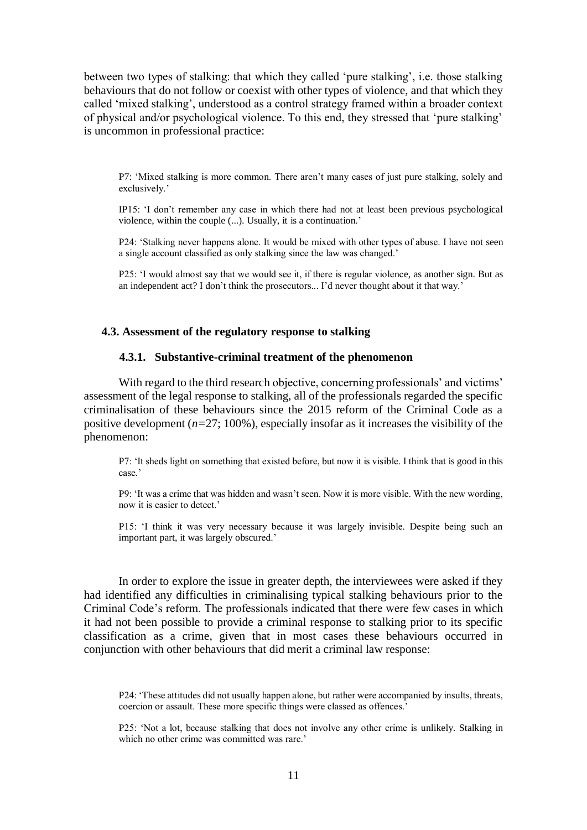between two types of stalking: that which they called 'pure stalking', i.e. those stalking behaviours that do not follow or coexist with other types of violence, and that which they called 'mixed stalking', understood as a control strategy framed within a broader context of physical and/or psychological violence. To this end, they stressed that 'pure stalking' is uncommon in professional practice:

P7: 'Mixed stalking is more common. There aren't many cases of just pure stalking, solely and exclusively.'

IP15: 'I don't remember any case in which there had not at least been previous psychological violence, within the couple (...). Usually, it is a continuation.'

P24: 'Stalking never happens alone. It would be mixed with other types of abuse. I have not seen a single account classified as only stalking since the law was changed.'

P25: 'I would almost say that we would see it, if there is regular violence, as another sign. But as an independent act? I don't think the prosecutors... I'd never thought about it that way.'

### **4.3. Assessment of the regulatory response to stalking**

### **4.3.1. Substantive-criminal treatment of the phenomenon**

With regard to the third research objective, concerning professionals' and victims' assessment of the legal response to stalking, all of the professionals regarded the specific criminalisation of these behaviours since the 2015 reform of the Criminal Code as a positive development (*n=*27; 100%), especially insofar as it increases the visibility of the phenomenon:

P7: 'It sheds light on something that existed before, but now it is visible. I think that is good in this case.'

P9: 'It was a crime that was hidden and wasn't seen. Now it is more visible. With the new wording, now it is easier to detect.'

P15: 'I think it was very necessary because it was largely invisible. Despite being such an important part, it was largely obscured.'

In order to explore the issue in greater depth, the interviewees were asked if they had identified any difficulties in criminalising typical stalking behaviours prior to the Criminal Code's reform. The professionals indicated that there were few cases in which it had not been possible to provide a criminal response to stalking prior to its specific classification as a crime, given that in most cases these behaviours occurred in conjunction with other behaviours that did merit a criminal law response:

P24: 'These attitudes did not usually happen alone, but rather were accompanied by insults, threats, coercion or assault. These more specific things were classed as offences.'

P25: 'Not a lot, because stalking that does not involve any other crime is unlikely. Stalking in which no other crime was committed was rare.'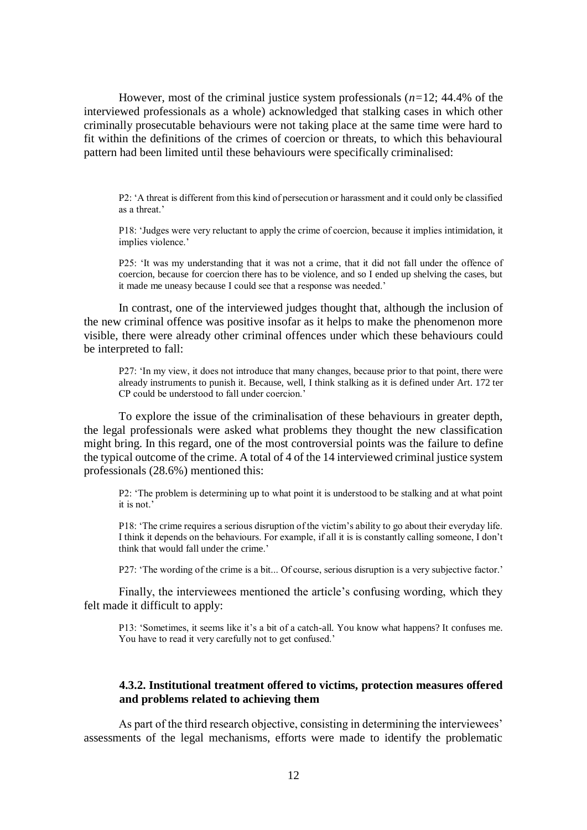However, most of the criminal justice system professionals (*n=*12; 44.4% of the interviewed professionals as a whole) acknowledged that stalking cases in which other criminally prosecutable behaviours were not taking place at the same time were hard to fit within the definitions of the crimes of coercion or threats, to which this behavioural pattern had been limited until these behaviours were specifically criminalised:

P2: 'A threat is different from this kind of persecution or harassment and it could only be classified as a threat.'

P18: 'Judges were very reluctant to apply the crime of coercion, because it implies intimidation, it implies violence.'

P25: 'It was my understanding that it was not a crime, that it did not fall under the offence of coercion, because for coercion there has to be violence, and so I ended up shelving the cases, but it made me uneasy because I could see that a response was needed.'

In contrast, one of the interviewed judges thought that, although the inclusion of the new criminal offence was positive insofar as it helps to make the phenomenon more visible, there were already other criminal offences under which these behaviours could be interpreted to fall:

P27: 'In my view, it does not introduce that many changes, because prior to that point, there were already instruments to punish it. Because, well, I think stalking as it is defined under Art. 172 ter CP could be understood to fall under coercion.'

To explore the issue of the criminalisation of these behaviours in greater depth, the legal professionals were asked what problems they thought the new classification might bring. In this regard, one of the most controversial points was the failure to define the typical outcome of the crime. A total of 4 of the 14 interviewed criminal justice system professionals (28.6%) mentioned this:

P2: 'The problem is determining up to what point it is understood to be stalking and at what point it is not.'

P18: 'The crime requires a serious disruption of the victim's ability to go about their everyday life. I think it depends on the behaviours. For example, if all it is is constantly calling someone, I don't think that would fall under the crime.'

P27: 'The wording of the crime is a bit... Of course, serious disruption is a very subjective factor.'

Finally, the interviewees mentioned the article's confusing wording, which they felt made it difficult to apply:

P13: 'Sometimes, it seems like it's a bit of a catch-all. You know what happens? It confuses me. You have to read it very carefully not to get confused.'

# **4.3.2. Institutional treatment offered to victims, protection measures offered and problems related to achieving them**

As part of the third research objective, consisting in determining the interviewees' assessments of the legal mechanisms, efforts were made to identify the problematic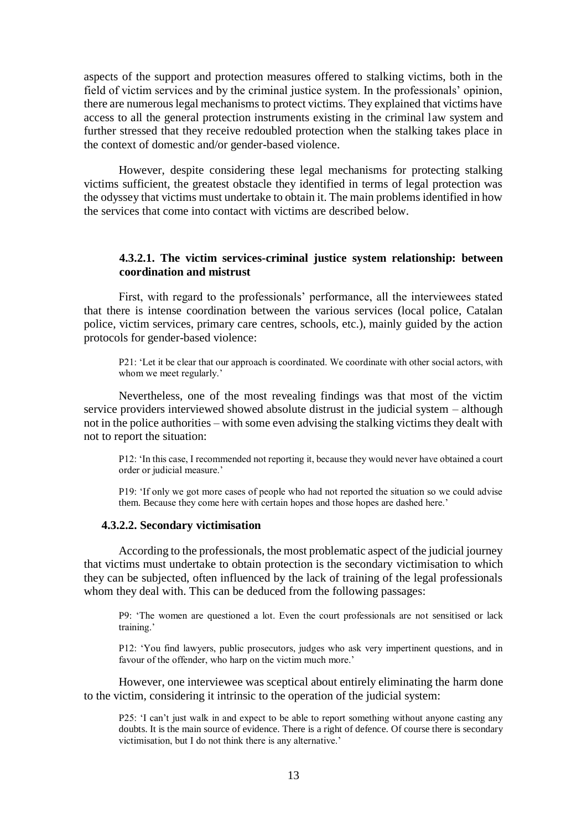aspects of the support and protection measures offered to stalking victims, both in the field of victim services and by the criminal justice system. In the professionals' opinion, there are numerous legal mechanisms to protect victims. They explained that victims have access to all the general protection instruments existing in the criminal law system and further stressed that they receive redoubled protection when the stalking takes place in the context of domestic and/or gender-based violence.

However, despite considering these legal mechanisms for protecting stalking victims sufficient, the greatest obstacle they identified in terms of legal protection was the odyssey that victims must undertake to obtain it. The main problems identified in how the services that come into contact with victims are described below.

# **4.3.2.1. The victim services-criminal justice system relationship: between coordination and mistrust**

First, with regard to the professionals' performance, all the interviewees stated that there is intense coordination between the various services (local police, Catalan police, victim services, primary care centres, schools, etc.), mainly guided by the action protocols for gender-based violence:

P21: 'Let it be clear that our approach is coordinated. We coordinate with other social actors, with whom we meet regularly.'

Nevertheless, one of the most revealing findings was that most of the victim service providers interviewed showed absolute distrust in the judicial system – although not in the police authorities – with some even advising the stalking victims they dealt with not to report the situation:

P12: 'In this case, I recommended not reporting it, because they would never have obtained a court order or judicial measure.'

P19: 'If only we got more cases of people who had not reported the situation so we could advise them. Because they come here with certain hopes and those hopes are dashed here.'

## **4.3.2.2. Secondary victimisation**

According to the professionals, the most problematic aspect of the judicial journey that victims must undertake to obtain protection is the secondary victimisation to which they can be subjected, often influenced by the lack of training of the legal professionals whom they deal with. This can be deduced from the following passages:

P9: 'The women are questioned a lot. Even the court professionals are not sensitised or lack training.'

P12: 'You find lawyers, public prosecutors, judges who ask very impertinent questions, and in favour of the offender, who harp on the victim much more.'

However, one interviewee was sceptical about entirely eliminating the harm done to the victim, considering it intrinsic to the operation of the judicial system:

P25: 'I can't just walk in and expect to be able to report something without anyone casting any doubts. It is the main source of evidence. There is a right of defence. Of course there is secondary victimisation, but I do not think there is any alternative.'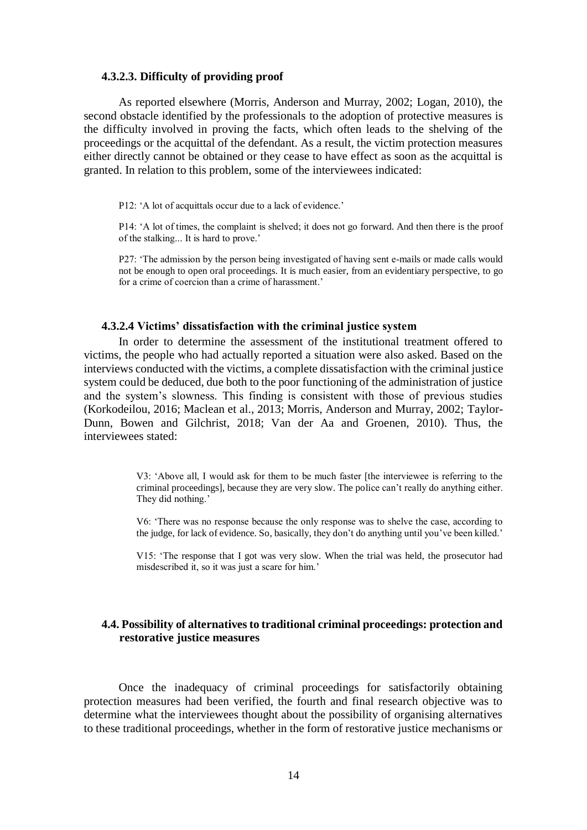#### **4.3.2.3. Difficulty of providing proof**

As reported elsewhere (Morris, Anderson and Murray, 2002; Logan, 2010), the second obstacle identified by the professionals to the adoption of protective measures is the difficulty involved in proving the facts, which often leads to the shelving of the proceedings or the acquittal of the defendant. As a result, the victim protection measures either directly cannot be obtained or they cease to have effect as soon as the acquittal is granted. In relation to this problem, some of the interviewees indicated:

P12: 'A lot of acquittals occur due to a lack of evidence.'

P14: 'A lot of times, the complaint is shelved; it does not go forward. And then there is the proof of the stalking... It is hard to prove.'

P27: 'The admission by the person being investigated of having sent e-mails or made calls would not be enough to open oral proceedings. It is much easier, from an evidentiary perspective, to go for a crime of coercion than a crime of harassment.'

#### **4.3.2.4 Victims' dissatisfaction with the criminal justice system**

In order to determine the assessment of the institutional treatment offered to victims, the people who had actually reported a situation were also asked. Based on the interviews conducted with the victims, a complete dissatisfaction with the criminal justice system could be deduced, due both to the poor functioning of the administration of justice and the system's slowness. This finding is consistent with those of previous studies (Korkodeilou, 2016; Maclean et al., 2013; Morris, Anderson and Murray, 2002; Taylor-Dunn, Bowen and Gilchrist, 2018; Van der Aa and Groenen, 2010). Thus, the interviewees stated:

> V3: 'Above all, I would ask for them to be much faster [the interviewee is referring to the criminal proceedings], because they are very slow. The police can't really do anything either. They did nothing.'

> V6: 'There was no response because the only response was to shelve the case, according to the judge, for lack of evidence. So, basically, they don't do anything until you've been killed.'

> V15: 'The response that I got was very slow. When the trial was held, the prosecutor had misdescribed it, so it was just a scare for him.'

# **4.4. Possibility of alternatives to traditional criminal proceedings: protection and restorative justice measures**

Once the inadequacy of criminal proceedings for satisfactorily obtaining protection measures had been verified, the fourth and final research objective was to determine what the interviewees thought about the possibility of organising alternatives to these traditional proceedings, whether in the form of restorative justice mechanisms or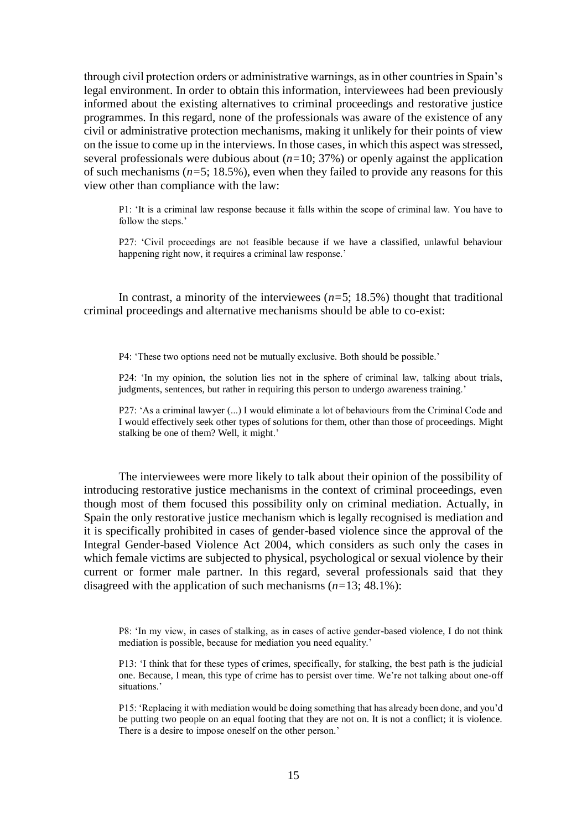through civil protection orders or administrative warnings, as in other countries in Spain's legal environment. In order to obtain this information, interviewees had been previously informed about the existing alternatives to criminal proceedings and restorative justice programmes. In this regard, none of the professionals was aware of the existence of any civil or administrative protection mechanisms, making it unlikely for their points of view on the issue to come up in the interviews. In those cases, in which this aspect was stressed, several professionals were dubious about  $(n=10; 37%)$  or openly against the application of such mechanisms (*n=*5; 18.5%), even when they failed to provide any reasons for this view other than compliance with the law:

P1: 'It is a criminal law response because it falls within the scope of criminal law. You have to follow the steps.'

P27: 'Civil proceedings are not feasible because if we have a classified, unlawful behaviour happening right now, it requires a criminal law response.'

In contrast, a minority of the interviewees  $(n=5; 18.5%)$  thought that traditional criminal proceedings and alternative mechanisms should be able to co-exist:

P4: 'These two options need not be mutually exclusive. Both should be possible.'

P24: 'In my opinion, the solution lies not in the sphere of criminal law, talking about trials, judgments, sentences, but rather in requiring this person to undergo awareness training.'

P27: 'As a criminal lawyer (...) I would eliminate a lot of behaviours from the Criminal Code and I would effectively seek other types of solutions for them, other than those of proceedings. Might stalking be one of them? Well, it might.'

The interviewees were more likely to talk about their opinion of the possibility of introducing restorative justice mechanisms in the context of criminal proceedings, even though most of them focused this possibility only on criminal mediation. Actually, in Spain the only restorative justice mechanism which is legally recognised is mediation and it is specifically prohibited in cases of gender-based violence since the approval of the Integral Gender-based Violence Act 2004, which considers as such only the cases in which female victims are subjected to physical, psychological or sexual violence by their current or former male partner. In this regard, several professionals said that they disagreed with the application of such mechanisms (*n=*13; 48.1%):

P8: 'In my view, in cases of stalking, as in cases of active gender-based violence, I do not think mediation is possible, because for mediation you need equality.'

P13: 'I think that for these types of crimes, specifically, for stalking, the best path is the judicial one. Because, I mean, this type of crime has to persist over time. We're not talking about one-off situations.'

P15: 'Replacing it with mediation would be doing something that has already been done, and you'd be putting two people on an equal footing that they are not on. It is not a conflict; it is violence. There is a desire to impose oneself on the other person.'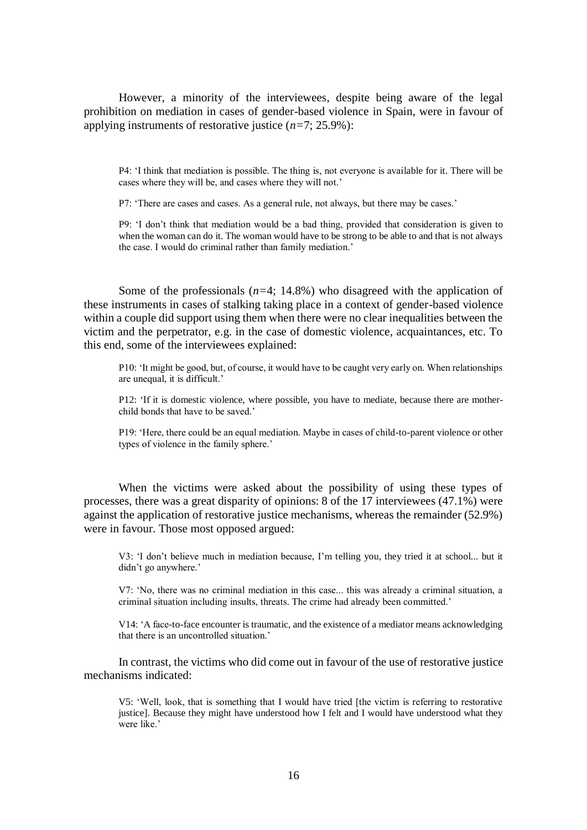However, a minority of the interviewees, despite being aware of the legal prohibition on mediation in cases of gender-based violence in Spain, were in favour of applying instruments of restorative justice (*n=*7; 25.9%):

P4: 'I think that mediation is possible. The thing is, not everyone is available for it. There will be cases where they will be, and cases where they will not.'

P7: 'There are cases and cases. As a general rule, not always, but there may be cases.'

P9: 'I don't think that mediation would be a bad thing, provided that consideration is given to when the woman can do it. The woman would have to be strong to be able to and that is not always the case. I would do criminal rather than family mediation.'

Some of the professionals (*n=*4; 14.8%) who disagreed with the application of these instruments in cases of stalking taking place in a context of gender-based violence within a couple did support using them when there were no clear inequalities between the victim and the perpetrator, e.g. in the case of domestic violence, acquaintances, etc. To this end, some of the interviewees explained:

P10: 'It might be good, but, of course, it would have to be caught very early on. When relationships are unequal, it is difficult.'

P12: 'If it is domestic violence, where possible, you have to mediate, because there are motherchild bonds that have to be saved.'

P19: 'Here, there could be an equal mediation. Maybe in cases of child-to-parent violence or other types of violence in the family sphere.'

When the victims were asked about the possibility of using these types of processes, there was a great disparity of opinions: 8 of the 17 interviewees (47.1%) were against the application of restorative justice mechanisms, whereas the remainder (52.9%) were in favour. Those most opposed argued:

V3: 'I don't believe much in mediation because, I'm telling you, they tried it at school... but it didn't go anywhere.'

V7: 'No, there was no criminal mediation in this case... this was already a criminal situation, a criminal situation including insults, threats. The crime had already been committed.'

V14: 'A face-to-face encounter is traumatic, and the existence of a mediator means acknowledging that there is an uncontrolled situation.'

In contrast, the victims who did come out in favour of the use of restorative justice mechanisms indicated:

V5: 'Well, look, that is something that I would have tried [the victim is referring to restorative justice]. Because they might have understood how I felt and I would have understood what they were like.'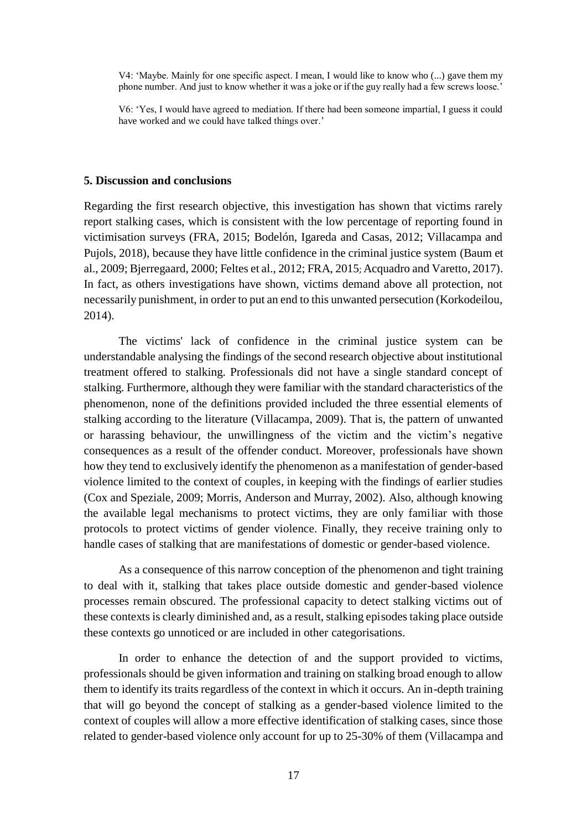V4: 'Maybe. Mainly for one specific aspect. I mean, I would like to know who (...) gave them my phone number. And just to know whether it was a joke or if the guy really had a few screws loose.'

V6: 'Yes, I would have agreed to mediation. If there had been someone impartial, I guess it could have worked and we could have talked things over.'

## **5. Discussion and conclusions**

Regarding the first research objective, this investigation has shown that victims rarely report stalking cases, which is consistent with the low percentage of reporting found in victimisation surveys (FRA, 2015; Bodelón, Igareda and Casas, 2012; Villacampa and Pujols, 2018), because they have little confidence in the criminal justice system (Baum et al., 2009; Bjerregaard, 2000; Feltes et al., 2012; FRA, 2015; Acquadro and Varetto, 2017). In fact, as others investigations have shown, victims demand above all protection, not necessarily punishment, in order to put an end to this unwanted persecution (Korkodeilou, 2014).

The victims' lack of confidence in the criminal justice system can be understandable analysing the findings of the second research objective about institutional treatment offered to stalking. Professionals did not have a single standard concept of stalking. Furthermore, although they were familiar with the standard characteristics of the phenomenon, none of the definitions provided included the three essential elements of stalking according to the literature (Villacampa, 2009). That is, the pattern of unwanted or harassing behaviour, the unwillingness of the victim and the victim's negative consequences as a result of the offender conduct. Moreover, professionals have shown how they tend to exclusively identify the phenomenon as a manifestation of gender-based violence limited to the context of couples, in keeping with the findings of earlier studies (Cox and Speziale, 2009; Morris, Anderson and Murray, 2002). Also, although knowing the available legal mechanisms to protect victims, they are only familiar with those protocols to protect victims of gender violence. Finally, they receive training only to handle cases of stalking that are manifestations of domestic or gender-based violence.

As a consequence of this narrow conception of the phenomenon and tight training to deal with it, stalking that takes place outside domestic and gender-based violence processes remain obscured. The professional capacity to detect stalking victims out of these contexts is clearly diminished and, as a result, stalking episodes taking place outside these contexts go unnoticed or are included in other categorisations.

In order to enhance the detection of and the support provided to victims, professionals should be given information and training on stalking broad enough to allow them to identify its traits regardless of the context in which it occurs. An in-depth training that will go beyond the concept of stalking as a gender-based violence limited to the context of couples will allow a more effective identification of stalking cases, since those related to gender-based violence only account for up to 25-30% of them (Villacampa and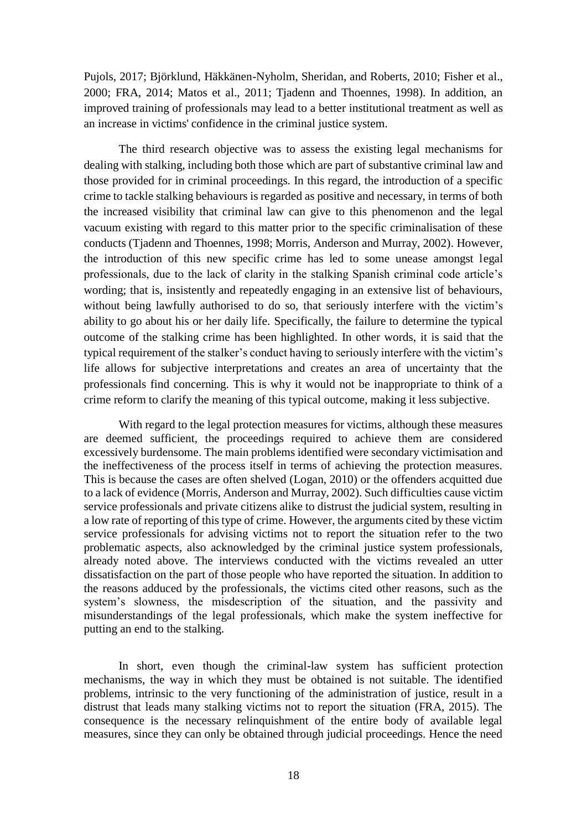Pujols, 2017; Björklund, Häkkänen-Nyholm, Sheridan, and Roberts, 2010; Fisher et al., 2000; FRA, 2014; Matos et al., 2011; Tjadenn and Thoennes, 1998). In addition, an improved training of professionals may lead to a better institutional treatment as well as an increase in victims' confidence in the criminal justice system.

The third research objective was to assess the existing legal mechanisms for dealing with stalking, including both those which are part of substantive criminal law and those provided for in criminal proceedings. In this regard, the introduction of a specific crime to tackle stalking behaviours is regarded as positive and necessary, in terms of both the increased visibility that criminal law can give to this phenomenon and the legal vacuum existing with regard to this matter prior to the specific criminalisation of these conducts (Tjadenn and Thoennes, 1998; Morris, Anderson and Murray, 2002). However, the introduction of this new specific crime has led to some unease amongst legal professionals, due to the lack of clarity in the stalking Spanish criminal code article's wording; that is, insistently and repeatedly engaging in an extensive list of behaviours, without being lawfully authorised to do so, that seriously interfere with the victim's ability to go about his or her daily life. Specifically, the failure to determine the typical outcome of the stalking crime has been highlighted. In other words, it is said that the typical requirement of the stalker's conduct having to seriously interfere with the victim's life allows for subjective interpretations and creates an area of uncertainty that the professionals find concerning. This is why it would not be inappropriate to think of a crime reform to clarify the meaning of this typical outcome, making it less subjective.

With regard to the legal protection measures for victims, although these measures are deemed sufficient, the proceedings required to achieve them are considered excessively burdensome. The main problems identified were secondary victimisation and the ineffectiveness of the process itself in terms of achieving the protection measures. This is because the cases are often shelved (Logan, 2010) or the offenders acquitted due to a lack of evidence (Morris, Anderson and Murray, 2002). Such difficulties cause victim service professionals and private citizens alike to distrust the judicial system, resulting in a low rate of reporting of this type of crime. However, the arguments cited by these victim service professionals for advising victims not to report the situation refer to the two problematic aspects, also acknowledged by the criminal justice system professionals, already noted above. The interviews conducted with the victims revealed an utter dissatisfaction on the part of those people who have reported the situation. In addition to the reasons adduced by the professionals, the victims cited other reasons, such as the system's slowness, the misdescription of the situation, and the passivity and misunderstandings of the legal professionals, which make the system ineffective for putting an end to the stalking.

In short, even though the criminal-law system has sufficient protection mechanisms, the way in which they must be obtained is not suitable. The identified problems, intrinsic to the very functioning of the administration of justice, result in a distrust that leads many stalking victims not to report the situation (FRA, 2015). The consequence is the necessary relinquishment of the entire body of available legal measures, since they can only be obtained through judicial proceedings. Hence the need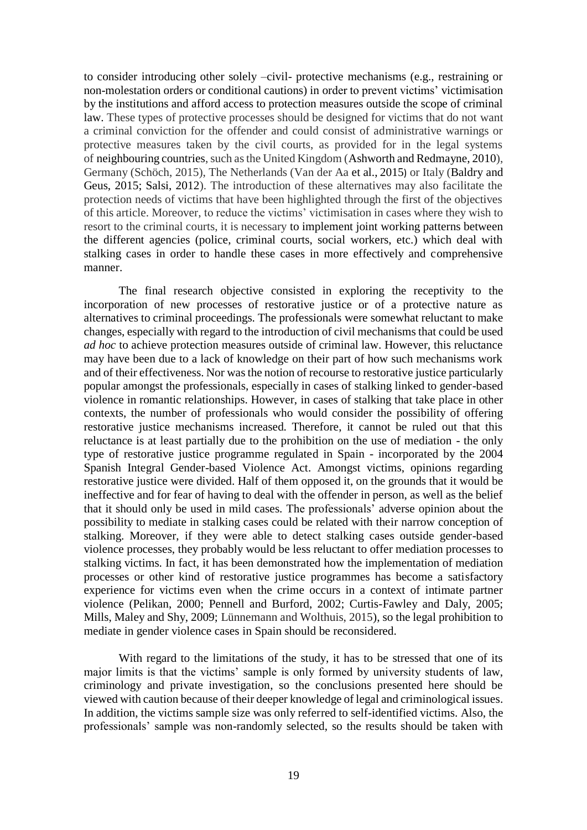to consider introducing other solely –civil- protective mechanisms (e.g., restraining or non-molestation orders or conditional cautions) in order to prevent victims' victimisation by the institutions and afford access to protection measures outside the scope of criminal law. These types of protective processes should be designed for victims that do not want a criminal conviction for the offender and could consist of administrative warnings or protective measures taken by the civil courts, as provided for in the legal systems of neighbouring countries, such as the United Kingdom (Ashworth and Redmayne, 2010), Germany (Schöch, 2015), The Netherlands (Van der Aa et al., 2015) or Italy (Baldry and Geus, 2015; Salsi, 2012). The introduction of these alternatives may also facilitate the protection needs of victims that have been highlighted through the first of the objectives of this article. Moreover, to reduce the victims' victimisation in cases where they wish to resort to the criminal courts, it is necessary to implement joint working patterns between the different agencies (police, criminal courts, social workers, etc.) which deal with stalking cases in order to handle these cases in more effectively and comprehensive manner.

The final research objective consisted in exploring the receptivity to the incorporation of new processes of restorative justice or of a protective nature as alternatives to criminal proceedings. The professionals were somewhat reluctant to make changes, especially with regard to the introduction of civil mechanisms that could be used *ad hoc* to achieve protection measures outside of criminal law. However, this reluctance may have been due to a lack of knowledge on their part of how such mechanisms work and of their effectiveness. Nor was the notion of recourse to restorative justice particularly popular amongst the professionals, especially in cases of stalking linked to gender-based violence in romantic relationships. However, in cases of stalking that take place in other contexts, the number of professionals who would consider the possibility of offering restorative justice mechanisms increased. Therefore, it cannot be ruled out that this reluctance is at least partially due to the prohibition on the use of mediation - the only type of restorative justice programme regulated in Spain - incorporated by the 2004 Spanish Integral Gender-based Violence Act. Amongst victims, opinions regarding restorative justice were divided. Half of them opposed it, on the grounds that it would be ineffective and for fear of having to deal with the offender in person, as well as the belief that it should only be used in mild cases. The professionals' adverse opinion about the possibility to mediate in stalking cases could be related with their narrow conception of stalking. Moreover, if they were able to detect stalking cases outside gender-based violence processes, they probably would be less reluctant to offer mediation processes to stalking victims. In fact, it has been demonstrated how the implementation of mediation processes or other kind of restorative justice programmes has become a satisfactory experience for victims even when the crime occurs in a context of intimate partner violence (Pelikan, 2000; Pennell and Burford, 2002; Curtis-Fawley and Daly, 2005; Mills, Maley and Shy, 2009; Lünnemann and Wolthuis, 2015), so the legal prohibition to mediate in gender violence cases in Spain should be reconsidered.

With regard to the limitations of the study, it has to be stressed that one of its major limits is that the victims' sample is only formed by university students of law, criminology and private investigation, so the conclusions presented here should be viewed with caution because of their deeper knowledge of legal and criminological issues. In addition, the victims sample size was only referred to self-identified victims. Also, the professionals' sample was non-randomly selected, so the results should be taken with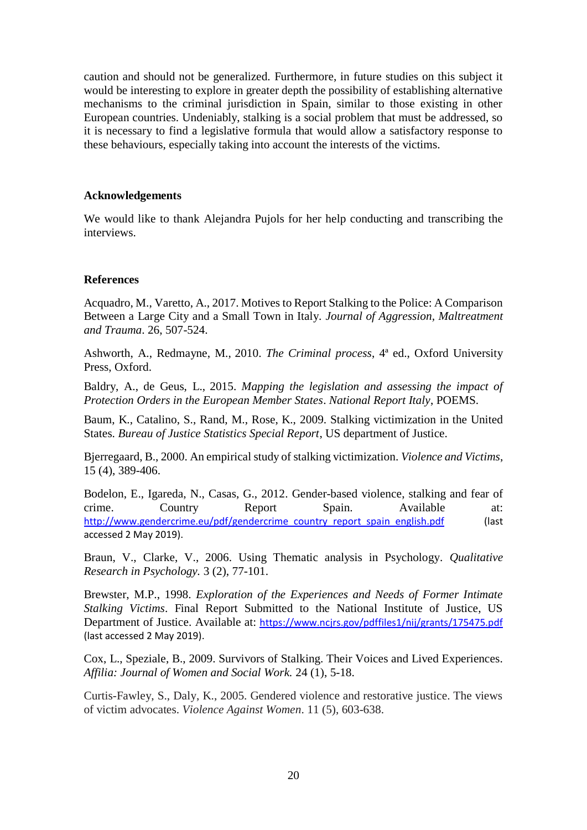caution and should not be generalized. Furthermore, in future studies on this subject it would be interesting to explore in greater depth the possibility of establishing alternative mechanisms to the criminal jurisdiction in Spain, similar to those existing in other European countries. Undeniably, stalking is a social problem that must be addressed, so it is necessary to find a legislative formula that would allow a satisfactory response to these behaviours, especially taking into account the interests of the victims.

# **Acknowledgements**

We would like to thank Alejandra Pujols for her help conducting and transcribing the interviews.

# **References**

Acquadro, M., Varetto, A., 2017. Motives to Report Stalking to the Police: A Comparison Between a Large City and a Small Town in Italy. *Journal of Aggression, Maltreatment and Trauma*. 26, 507-524.

Ashworth, A., Redmayne, M., 2010. *The Criminal process*, 4ª ed., Oxford University Press, Oxford.

Baldry, A., de Geus, L., 2015. *Mapping the legislation and assessing the impact of Protection Orders in the European Member States*. *National Report Italy*, POEMS.

Baum, K., Catalino, S., Rand, M., Rose, K., 2009. Stalking victimization in the United States. *Bureau of Justice Statistics Special Report*, US department of Justice.

Bjerregaard, B., 2000. An empirical study of stalking victimization. *Violence and Victims*, 15 (4), 389-406.

Bodelon, E., Igareda, N., Casas, G., 2012. Gender-based violence, stalking and fear of crime. Country Report Spain. Available at: [http://www.gendercrime.eu/pdf/gendercrime\\_country\\_report\\_spain\\_english.pdf](http://www.gendercrime.eu/pdf/gendercrime_country_report_spain_english.pdf) (last accessed 2 May 2019).

Braun, V., Clarke, V., 2006. Using Thematic analysis in Psychology. *Qualitative Research in Psychology.* 3 (2), 77-101.

Brewster, M.P., 1998. *Exploration of the Experiences and Needs of Former Intimate Stalking Victims*. Final Report Submitted to the National Institute of Justice, US Department of Justice. Available at: <https://www.ncjrs.gov/pdffiles1/nij/grants/175475.pdf> (last accessed 2 May 2019).

Cox, L., Speziale, B., 2009. Survivors of Stalking. Their Voices and Lived Experiences*. Affilia: Journal of Women and Social Work.* 24 (1), 5-18.

Curtis-Fawley, S., Daly, K., 2005. Gendered violence and restorative justice. The views of victim advocates. *Violence Against Women*. 11 (5), 603-638.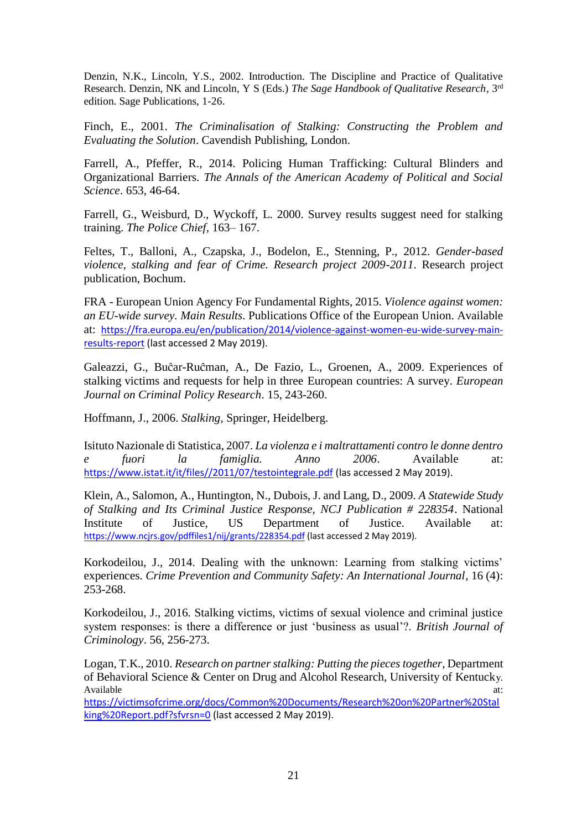Denzin, N.K., Lincoln, Y.S., 2002. Introduction. The Discipline and Practice of Qualitative Research. Denzin, NK and Lincoln, Y S (Eds.) *The Sage Handbook of Qualitative Research*, 3rd edition. Sage Publications, 1-26.

Finch, E., 2001. *The Criminalisation of Stalking: Constructing the Problem and Evaluating the Solution*. Cavendish Publishing, London.

Farrell, A., Pfeffer, R., 2014. Policing Human Trafficking: Cultural Blinders and Organizational Barriers. *The Annals of the American Academy of Political and Social Science*. 653, 46-64.

Farrell, G., Weisburd, D., Wyckoff, L. 2000. Survey results suggest need for stalking training. *The Police Chief*, 163– 167.

Feltes, T., Balloni, A., Czapska, J., Bodelon, E., Stenning, P., 2012. *Gender-based violence, stalking and fear of Crime. Research project 2009-2011*. Research project publication, Bochum.

FRA - European Union Agency For Fundamental Rights, 2015. *Violence against women: an EU-wide survey. Main Results*. Publications Office of the European Union. Available at: [https://fra.europa.eu/en/publication/2014/violence-against-women-eu-wide-survey-main](https://fra.europa.eu/en/publication/2014/violence-against-women-eu-wide-survey-main-results-report)[results-report](https://fra.europa.eu/en/publication/2014/violence-against-women-eu-wide-survey-main-results-report) (last accessed 2 May 2019).

Galeazzi, G., Buĉar-Ruĉman, A., De Fazio, L., Groenen, A., 2009. Experiences of stalking victims and requests for help in three European countries: A survey. *European Journal on Criminal Policy Research*. 15, 243-260.

Hoffmann, J., 2006. *Stalking*, Springer, Heidelberg.

Isituto Nazionale di Statistica, 2007. *La violenza e i maltrattamenti contro le donne dentro e fuori la famiglia. Anno 2006*. Available at: [https://www.istat.it/it/files//2011/07/testointegrale.pdf](https://www.istat.it/it/files/2011/07/testointegrale.pdf) (las accessed 2 May 2019).

Klein, A., Salomon, A., Huntington, N., Dubois, J. and Lang, D., 2009. *A Statewide Study of Stalking and Its Criminal Justice Response, NCJ Publication # 228354*. National Institute of Justice, US Department of Justice. Available at: <https://www.ncjrs.gov/pdffiles1/nij/grants/228354.pdf> (last accessed 2 May 2019).

Korkodeilou, J., 2014. Dealing with the unknown: Learning from stalking victims' experiences. *Crime Prevention and Community Safety: An International Journal*, 16 (4): 253-268.

Korkodeilou, J., 2016. Stalking victims, victims of sexual violence and criminal justice system responses: is there a difference or just 'business as usual'?. *British Journal of Criminology*. 56, 256-273.

Logan, T.K., 2010. *Research on partner stalking: Putting the pieces together*, Department of Behavioral Science & Center on Drug and Alcohol Research, University of Kentucky. Available at: and a state at a state at a state at a state at a state at a state at a state at a state at a state at a state at a state at a state at a state at a state at a state at a state at a state at a state at a stat

[https://victimsofcrime.org/docs/Common%20Documents/Research%20on%20Partner%20Stal](https://victimsofcrime.org/docs/Common%20Documents/Research%20on%20Partner%20Stalking%20Report.pdf?sfvrsn=0) [king%20Report.pdf?sfvrsn=0](https://victimsofcrime.org/docs/Common%20Documents/Research%20on%20Partner%20Stalking%20Report.pdf?sfvrsn=0) (last accessed 2 May 2019).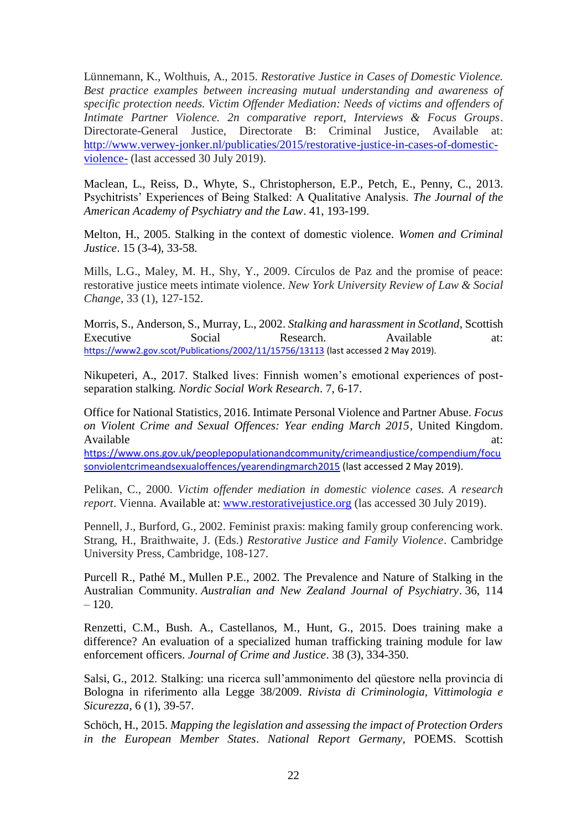Lünnemann, K., Wolthuis, A., 2015. *Restorative Justice in Cases of Domestic Violence. Best practice examples between increasing mutual understanding and awareness of specific protection needs. Victim Offender Mediation: Needs of victims and offenders of Intimate Partner Violence. 2n comparative report, Interviews & Focus Groups*. Directorate-General Justice, Directorate B: Criminal Justice, Available at: [http://www.verwey-jonker.nl/publicaties/2015/restorative-justice-in-cases-of-domestic](http://www.verwey-jonker.nl/publicaties/2015/restorative-justice-in-cases-of-domestic-violence-)[violence-](http://www.verwey-jonker.nl/publicaties/2015/restorative-justice-in-cases-of-domestic-violence-) (last accessed 30 July 2019).

Maclean, L., Reiss, D., Whyte, S., Christopherson, E.P., Petch, E., Penny, C., 2013. Psychitrists' Experiences of Being Stalked: A Qualitative Analysis. *The Journal of the American Academy of Psychiatry and the Law*. 41, 193-199.

Melton, H., 2005. Stalking in the context of domestic violence. *Women and Criminal Justice*. 15 (3-4), 33-58.

Mills, L.G., Maley, M. H., Shy, Y., 2009. Círculos de Paz and the promise of peace: restorative justice meets intimate violence. *New York University Review of Law & Social Change*, 33 (1), 127-152.

Morris, S., Anderson, S., Murray, L., 2002. *Stalking and harassment in Scotland*, Scottish Executive Social Research. Available at: <https://www2.gov.scot/Publications/2002/11/15756/13113> (last accessed 2 May 2019).

Nikupeteri, A., 2017. Stalked lives: Finnish women's emotional experiences of postseparation stalking. *Nordic Social Work Research*. 7, 6-17.

Office for National Statistics, 2016. Intimate Personal Violence and Partner Abuse. *Focus on Violent Crime and Sexual Offences: Year ending March 2015,* United Kingdom. Available at:

[https://www.ons.gov.uk/peoplepopulationandcommunity/crimeandjustice/compendium/focu](https://www.ons.gov.uk/peoplepopulationandcommunity/crimeandjustice/compendium/focusonviolentcrimeandsexualoffences/yearendingmarch2015) [sonviolentcrimeandsexualoffences/yearendingmarch2015](https://www.ons.gov.uk/peoplepopulationandcommunity/crimeandjustice/compendium/focusonviolentcrimeandsexualoffences/yearendingmarch2015) (last accessed 2 May 2019).

Pelikan, C., 2000. *Victim offender mediation in domestic violence cases. A research report*. Vienna. Available at: [www.restorativejustice.org](http://www.restorativejustice.org/) (las accessed 30 July 2019).

Pennell, J., Burford, G., 2002. Feminist praxis: making family group conferencing work. Strang, H., Braithwaite, J. (Eds.) *Restorative Justice and Family Violence*. Cambridge University Press, Cambridge, 108-127.

Purcell R., Pathé M., Mullen P.E., 2002. The Prevalence and Nature of Stalking in the Australian Community. *Australian and New Zealand Journal of Psychiatry*. 36, 114 – 120.

Renzetti, C.M., Bush. A., Castellanos, M., Hunt, G., 2015. Does training make a difference? An evaluation of a specialized human trafficking training module for law enforcement officers. *Journal of Crime and Justice*. 38 (3), 334-350.

Salsi, G., 2012. Stalking: una ricerca sull'ammonimento del qüestore nella provincia di Bologna in riferimento alla Legge 38/2009. *Rivista di Criminologia, Vittimologia e Sicurezza*, 6 (1), 39-57.

Schöch, H., 2015. *Mapping the legislation and assessing the impact of Protection Orders in the European Member States*. *National Report Germany*, POEMS. Scottish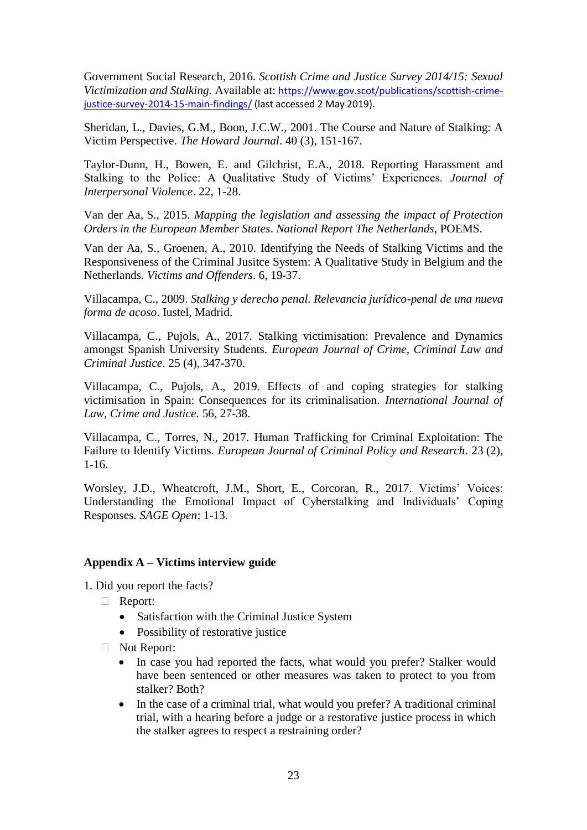Government Social Research, 2016. *Scottish Crime and Justice Survey 2014/15: Sexual Victimization and Stalking.* Available at: [https://www.gov.scot/publications/scottish-crime](https://www.gov.scot/publications/scottish-crime-justice-survey-2014-15-main-findings/)[justice-survey-2014-15-main-findings/](https://www.gov.scot/publications/scottish-crime-justice-survey-2014-15-main-findings/) (last accessed 2 May 2019).

Sheridan, L., Davies, G.M., Boon, J.C.W., 2001. The Course and Nature of Stalking: A Victim Perspective. *The Howard Journal*. 40 (3), 151-167.

Taylor-Dunn, H., Bowen, E. and Gilchrist, E.A., 2018. Reporting Harassment and Stalking to the Police: A Qualitative Study of Victims' Experiences. *Journal of Interpersonal Violence*. 22, 1-28.

Van der Aa, S., 2015. *Mapping the legislation and assessing the impact of Protection Orders in the European Member States*. *National Report The Netherlands*, POEMS.

Van der Aa, S., Groenen, A., 2010. Identifying the Needs of Stalking Victims and the Responsiveness of the Criminal Jusitce System: A Qualitative Study in Belgium and the Netherlands. *Victims and Offenders*. 6, 19-37.

Villacampa, C., 2009. *Stalking y derecho penal. Relevancia jurídico-penal de una nueva forma de acoso*. Iustel, Madrid.

Villacampa, C., Pujols, A., 2017. Stalking victimisation: Prevalence and Dynamics amongst Spanish University Students. *European Journal of Crime, Criminal Law and Criminal Justice*. 25 (4), 347-370.

Villacampa, C., Pujols, A., 2019. Effects of and coping strategies for stalking victimisation in Spain: Consequences for its criminalisation. *International Journal of Law, Crime and Justice.* 56, 27-38.

Villacampa, C., Torres, N., 2017. Human Trafficking for Criminal Exploitation: The Failure to Identify Victims. *European Journal of Criminal Policy and Research*. 23 (2), 1-16.

Worsley, J.D., Wheatcroft, J.M., Short, E., Corcoran, R., 2017. Victims' Voices: Understanding the Emotional Impact of Cyberstalking and Individuals' Coping Responses. *SAGE Open*: 1-13.

# **Appendix A – Victims interview guide**

1. Did you report the facts?

Report:

- Satisfaction with the Criminal Justice System
- Possibility of restorative justice
- □ Not Report:
	- In case you had reported the facts, what would you prefer? Stalker would have been sentenced or other measures was taken to protect to you from stalker? Both?
	- In the case of a criminal trial, what would you prefer? A traditional criminal trial, with a hearing before a judge or a restorative justice process in which the stalker agrees to respect a restraining order?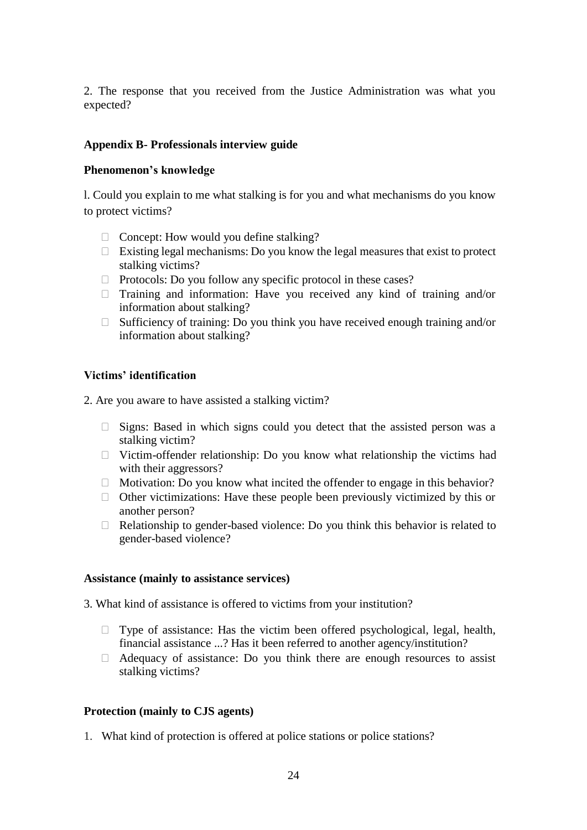2. The response that you received from the Justice Administration was what you expected?

# **Appendix B- Professionals interview guide**

# **Phenomenon's knowledge**

l. Could you explain to me what stalking is for you and what mechanisms do you know to protect victims?

- □ Concept: How would you define stalking?
- $\Box$  Existing legal mechanisms: Do you know the legal measures that exist to protect stalking victims?
- $\Box$  Protocols: Do you follow any specific protocol in these cases?
- $\Box$  Training and information: Have you received any kind of training and/or information about stalking?
- $\Box$  Sufficiency of training: Do you think you have received enough training and/or information about stalking?

# **Victims' identification**

2. Are you aware to have assisted a stalking victim?

- $\Box$  Signs: Based in which signs could you detect that the assisted person was a stalking victim?
- $\Box$  Victim-offender relationship: Do you know what relationship the victims had with their aggressors?
- $\Box$  Motivation: Do you know what incited the offender to engage in this behavior?
- $\Box$  Other victimizations: Have these people been previously victimized by this or another person?
- $\Box$  Relationship to gender-based violence: Do you think this behavior is related to gender-based violence?

# **Assistance (mainly to assistance services)**

- 3. What kind of assistance is offered to victims from your institution?
	- $\Box$  Type of assistance: Has the victim been offered psychological, legal, health, financial assistance ...? Has it been referred to another agency/institution?
	- $\Box$  Adequacy of assistance: Do you think there are enough resources to assist stalking victims?

# **Protection (mainly to CJS agents)**

1. What kind of protection is offered at police stations or police stations?